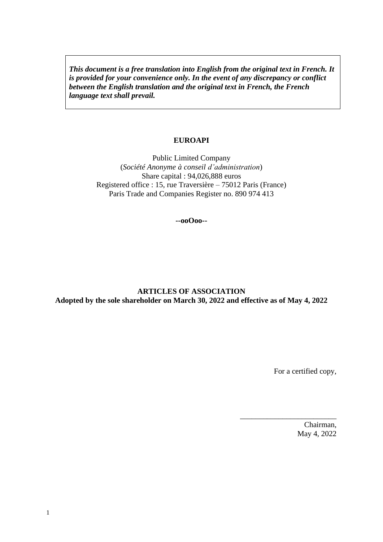*This document is a free translation into English from the original text in French. It is provided for your convenience only. In the event of any discrepancy or conflict between the English translation and the original text in French, the French language text shall prevail.* 

#### **EUROAPI**

Public Limited Company (*Société Anonyme à conseil d'administration*) Share capital : 94,026,888 euros Registered office : 15, rue Traversière – 75012 Paris (France) Paris Trade and Companies Register no. 890 974 413

**--ooOoo--**

### **ARTICLES OF ASSOCIATION Adopted by the sole shareholder on March 30, 2022 and effective as of May 4, 2022**

For a certified copy,

\_\_\_\_\_\_\_\_\_\_\_\_\_\_\_\_\_\_\_\_\_\_\_\_\_

Chairman, May 4, 2022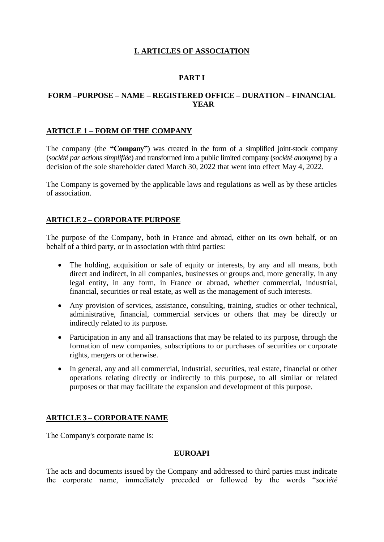# **I. ARTICLES OF ASSOCIATION**

# **PART I**

## **FORM –PURPOSE – NAME – REGISTERED OFFICE – DURATION – FINANCIAL YEAR**

#### **ARTICLE 1 – FORM OF THE COMPANY**

The company (the **"Company"**) was created in the form of a simplified joint-stock company (*société par actions simplifiée*) and transformed into a public limited company (*société anonyme*) by a decision of the sole shareholder dated March 30, 2022 that went into effect May 4, 2022.

The Company is governed by the applicable laws and regulations as well as by these articles of association.

### **ARTICLE 2 – CORPORATE PURPOSE**

The purpose of the Company, both in France and abroad, either on its own behalf, or on behalf of a third party, or in association with third parties:

- The holding, acquisition or sale of equity or interests, by any and all means, both direct and indirect, in all companies, businesses or groups and, more generally, in any legal entity, in any form, in France or abroad, whether commercial, industrial, financial, securities or real estate, as well as the management of such interests.
- Any provision of services, assistance, consulting, training, studies or other technical, administrative, financial, commercial services or others that may be directly or indirectly related to its purpose.
- Participation in any and all transactions that may be related to its purpose, through the formation of new companies, subscriptions to or purchases of securities or corporate rights, mergers or otherwise.
- In general, any and all commercial, industrial, securities, real estate, financial or other operations relating directly or indirectly to this purpose, to all similar or related purposes or that may facilitate the expansion and development of this purpose.

### **ARTICLE 3 – CORPORATE NAME**

The Company's corporate name is:

#### **EUROAPI**

The acts and documents issued by the Company and addressed to third parties must indicate the corporate name, immediately preceded or followed by the words "*société*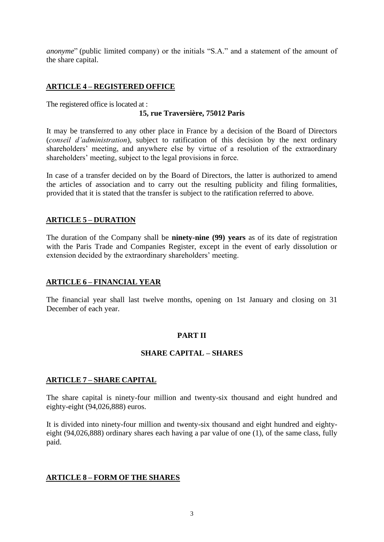*anonyme*" (public limited company) or the initials "S.A." and a statement of the amount of the share capital.

## **ARTICLE 4 – REGISTERED OFFICE**

The registered office is located at :

#### **15, rue Traversière, 75012 Paris**

It may be transferred to any other place in France by a decision of the Board of Directors (*conseil d'administration*), subject to ratification of this decision by the next ordinary shareholders' meeting, and anywhere else by virtue of a resolution of the extraordinary shareholders' meeting, subject to the legal provisions in force.

In case of a transfer decided on by the Board of Directors, the latter is authorized to amend the articles of association and to carry out the resulting publicity and filing formalities, provided that it is stated that the transfer is subject to the ratification referred to above.

#### **ARTICLE 5 – DURATION**

The duration of the Company shall be **ninety-nine (99) years** as of its date of registration with the Paris Trade and Companies Register, except in the event of early dissolution or extension decided by the extraordinary shareholders' meeting.

#### **ARTICLE 6 – FINANCIAL YEAR**

The financial year shall last twelve months, opening on 1st January and closing on 31 December of each year.

### **PART II**

### **SHARE CAPITAL – SHARES**

#### **ARTICLE 7 – SHARE CAPITAL**

The share capital is ninety-four million and twenty-six thousand and eight hundred and eighty-eight (94,026,888) euros.

It is divided into ninety-four million and twenty-six thousand and eight hundred and eightyeight (94,026,888) ordinary shares each having a par value of one (1), of the same class, fully paid.

#### **ARTICLE 8 – FORM OF THE SHARES**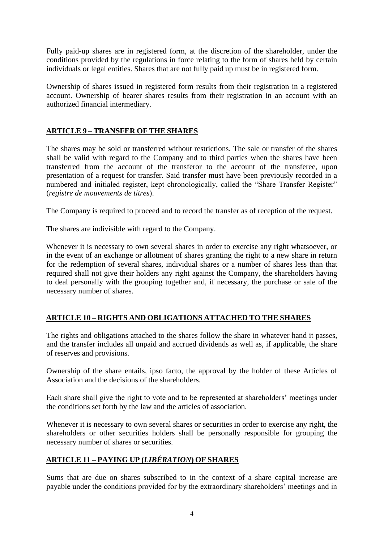Fully paid-up shares are in registered form, at the discretion of the shareholder, under the conditions provided by the regulations in force relating to the form of shares held by certain individuals or legal entities. Shares that are not fully paid up must be in registered form.

Ownership of shares issued in registered form results from their registration in a registered account. Ownership of bearer shares results from their registration in an account with an authorized financial intermediary.

## **ARTICLE 9 – TRANSFER OF THE SHARES**

The shares may be sold or transferred without restrictions. The sale or transfer of the shares shall be valid with regard to the Company and to third parties when the shares have been transferred from the account of the transferor to the account of the transferee, upon presentation of a request for transfer. Said transfer must have been previously recorded in a numbered and initialed register, kept chronologically, called the "Share Transfer Register" (*registre de mouvements de titres*).

The Company is required to proceed and to record the transfer as of reception of the request.

The shares are indivisible with regard to the Company.

Whenever it is necessary to own several shares in order to exercise any right whatsoever, or in the event of an exchange or allotment of shares granting the right to a new share in return for the redemption of several shares, individual shares or a number of shares less than that required shall not give their holders any right against the Company, the shareholders having to deal personally with the grouping together and, if necessary, the purchase or sale of the necessary number of shares.

### **ARTICLE 10 – RIGHTS AND OBLIGATIONS ATTACHED TO THE SHARES**

The rights and obligations attached to the shares follow the share in whatever hand it passes, and the transfer includes all unpaid and accrued dividends as well as, if applicable, the share of reserves and provisions.

Ownership of the share entails, ipso facto, the approval by the holder of these Articles of Association and the decisions of the shareholders.

Each share shall give the right to vote and to be represented at shareholders' meetings under the conditions set forth by the law and the articles of association.

Whenever it is necessary to own several shares or securities in order to exercise any right, the shareholders or other securities holders shall be personally responsible for grouping the necessary number of shares or securities.

# **ARTICLE 11 – PAYING UP (***LIBÉRATION***) OF SHARES**

Sums that are due on shares subscribed to in the context of a share capital increase are payable under the conditions provided for by the extraordinary shareholders' meetings and in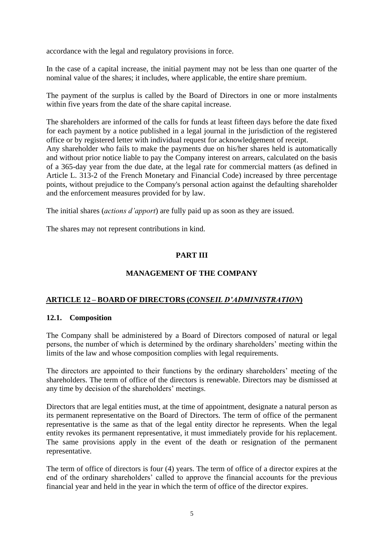accordance with the legal and regulatory provisions in force.

In the case of a capital increase, the initial payment may not be less than one quarter of the nominal value of the shares; it includes, where applicable, the entire share premium.

The payment of the surplus is called by the Board of Directors in one or more instalments within five years from the date of the share capital increase.

The shareholders are informed of the calls for funds at least fifteen days before the date fixed for each payment by a notice published in a legal journal in the jurisdiction of the registered office or by registered letter with individual request for acknowledgement of receipt. Any shareholder who fails to make the payments due on his/her shares held is automatically and without prior notice liable to pay the Company interest on arrears, calculated on the basis of a 365-day year from the due date, at the legal rate for commercial matters (as defined in Article L. 313-2 of the French Monetary and Financial Code) increased by three percentage points, without prejudice to the Company's personal action against the defaulting shareholder and the enforcement measures provided for by law.

The initial shares (*actions d'apport*) are fully paid up as soon as they are issued.

The shares may not represent contributions in kind.

# **PART III**

# **MANAGEMENT OF THE COMPANY**

### **ARTICLE 12 – BOARD OF DIRECTORS (***CONSEIL D'ADMINISTRATION***)**

#### **12.1. Composition**

The Company shall be administered by a Board of Directors composed of natural or legal persons, the number of which is determined by the ordinary shareholders' meeting within the limits of the law and whose composition complies with legal requirements.

The directors are appointed to their functions by the ordinary shareholders' meeting of the shareholders. The term of office of the directors is renewable. Directors may be dismissed at any time by decision of the shareholders' meetings.

Directors that are legal entities must, at the time of appointment, designate a natural person as its permanent representative on the Board of Directors. The term of office of the permanent representative is the same as that of the legal entity director he represents. When the legal entity revokes its permanent representative, it must immediately provide for his replacement. The same provisions apply in the event of the death or resignation of the permanent representative.

The term of office of directors is four (4) years. The term of office of a director expires at the end of the ordinary shareholders' called to approve the financial accounts for the previous financial year and held in the year in which the term of office of the director expires.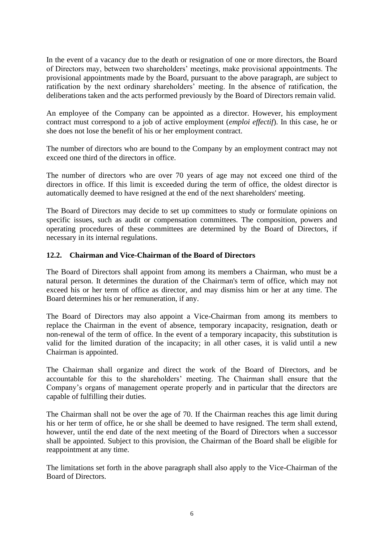In the event of a vacancy due to the death or resignation of one or more directors, the Board of Directors may, between two shareholders' meetings, make provisional appointments. The provisional appointments made by the Board, pursuant to the above paragraph, are subject to ratification by the next ordinary shareholders' meeting. In the absence of ratification, the deliberations taken and the acts performed previously by the Board of Directors remain valid.

An employee of the Company can be appointed as a director. However, his employment contract must correspond to a job of active employment (*emploi effectif*). In this case, he or she does not lose the benefit of his or her employment contract.

The number of directors who are bound to the Company by an employment contract may not exceed one third of the directors in office.

The number of directors who are over 70 years of age may not exceed one third of the directors in office. If this limit is exceeded during the term of office, the oldest director is automatically deemed to have resigned at the end of the next shareholders' meeting.

The Board of Directors may decide to set up committees to study or formulate opinions on specific issues, such as audit or compensation committees. The composition, powers and operating procedures of these committees are determined by the Board of Directors, if necessary in its internal regulations.

#### **12.2. Chairman and Vice-Chairman of the Board of Directors**

The Board of Directors shall appoint from among its members a Chairman, who must be a natural person. It determines the duration of the Chairman's term of office, which may not exceed his or her term of office as director, and may dismiss him or her at any time. The Board determines his or her remuneration, if any.

The Board of Directors may also appoint a Vice-Chairman from among its members to replace the Chairman in the event of absence, temporary incapacity, resignation, death or non-renewal of the term of office. In the event of a temporary incapacity, this substitution is valid for the limited duration of the incapacity; in all other cases, it is valid until a new Chairman is appointed.

The Chairman shall organize and direct the work of the Board of Directors, and be accountable for this to the shareholders' meeting. The Chairman shall ensure that the Company's organs of management operate properly and in particular that the directors are capable of fulfilling their duties.

The Chairman shall not be over the age of 70. If the Chairman reaches this age limit during his or her term of office, he or she shall be deemed to have resigned. The term shall extend, however, until the end date of the next meeting of the Board of Directors when a successor shall be appointed. Subject to this provision, the Chairman of the Board shall be eligible for reappointment at any time.

The limitations set forth in the above paragraph shall also apply to the Vice-Chairman of the Board of Directors.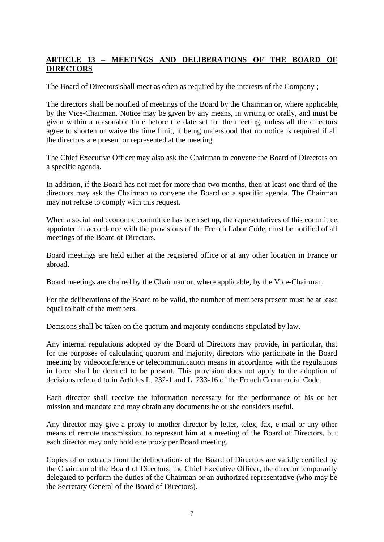## **ARTICLE 13 – MEETINGS AND DELIBERATIONS OF THE BOARD OF DIRECTORS**

The Board of Directors shall meet as often as required by the interests of the Company ;

The directors shall be notified of meetings of the Board by the Chairman or, where applicable, by the Vice-Chairman. Notice may be given by any means, in writing or orally, and must be given within a reasonable time before the date set for the meeting, unless all the directors agree to shorten or waive the time limit, it being understood that no notice is required if all the directors are present or represented at the meeting.

The Chief Executive Officer may also ask the Chairman to convene the Board of Directors on a specific agenda.

In addition, if the Board has not met for more than two months, then at least one third of the directors may ask the Chairman to convene the Board on a specific agenda. The Chairman may not refuse to comply with this request.

When a social and economic committee has been set up, the representatives of this committee, appointed in accordance with the provisions of the French Labor Code, must be notified of all meetings of the Board of Directors.

Board meetings are held either at the registered office or at any other location in France or abroad.

Board meetings are chaired by the Chairman or, where applicable, by the Vice-Chairman.

For the deliberations of the Board to be valid, the number of members present must be at least equal to half of the members.

Decisions shall be taken on the quorum and majority conditions stipulated by law.

Any internal regulations adopted by the Board of Directors may provide, in particular, that for the purposes of calculating quorum and majority, directors who participate in the Board meeting by videoconference or telecommunication means in accordance with the regulations in force shall be deemed to be present. This provision does not apply to the adoption of decisions referred to in Articles L. 232-1 and L. 233-16 of the French Commercial Code.

Each director shall receive the information necessary for the performance of his or her mission and mandate and may obtain any documents he or she considers useful.

Any director may give a proxy to another director by letter, telex, fax, e-mail or any other means of remote transmission, to represent him at a meeting of the Board of Directors, but each director may only hold one proxy per Board meeting.

Copies of or extracts from the deliberations of the Board of Directors are validly certified by the Chairman of the Board of Directors, the Chief Executive Officer, the director temporarily delegated to perform the duties of the Chairman or an authorized representative (who may be the Secretary General of the Board of Directors).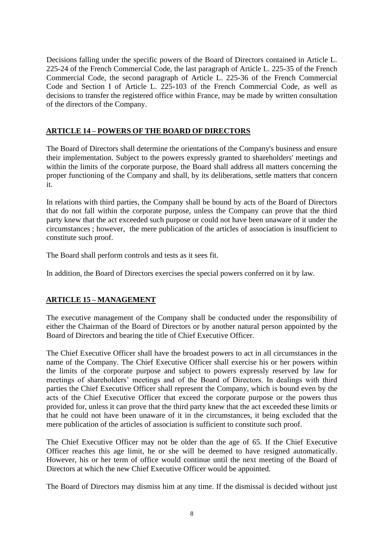Decisions falling under the specific powers of the Board of Directors contained in Article L. 225-24 of the French Commercial Code, the last paragraph of Article L. 225-35 of the French Commercial Code, the second paragraph of Article L. 225-36 of the French Commercial Code and Section I of Article L. 225-103 of the French Commercial Code, as well as decisions to transfer the registered office within France, may be made by written consultation of the directors of the Company.

## **ARTICLE 14 – POWERS OF THE BOARD OF DIRECTORS**

The Board of Directors shall determine the orientations of the Company's business and ensure their implementation. Subject to the powers expressly granted to shareholders' meetings and within the limits of the corporate purpose, the Board shall address all matters concerning the proper functioning of the Company and shall, by its deliberations, settle matters that concern it.

In relations with third parties, the Company shall be bound by acts of the Board of Directors that do not fall within the corporate purpose, unless the Company can prove that the third party knew that the act exceeded such purpose or could not have been unaware of it under the circumstances ; however, the mere publication of the articles of association is insufficient to constitute such proof.

The Board shall perform controls and tests as it sees fit.

In addition, the Board of Directors exercises the special powers conferred on it by law.

### **ARTICLE 15 – MANAGEMENT**

The executive management of the Company shall be conducted under the responsibility of either the Chairman of the Board of Directors or by another natural person appointed by the Board of Directors and bearing the title of Chief Executive Officer.

The Chief Executive Officer shall have the broadest powers to act in all circumstances in the name of the Company. The Chief Executive Officer shall exercise his or her powers within the limits of the corporate purpose and subject to powers expressly reserved by law for meetings of shareholders' meetings and of the Board of Directors. In dealings with third parties the Chief Executive Officer shall represent the Company, which is bound even by the acts of the Chief Executive Officer that exceed the corporate purpose or the powers thus provided for, unless it can prove that the third party knew that the act exceeded these limits or that he could not have been unaware of it in the circumstances, it being excluded that the mere publication of the articles of association is sufficient to constitute such proof.

The Chief Executive Officer may not be older than the age of 65. If the Chief Executive Officer reaches this age limit, he or she will be deemed to have resigned automatically. However, his or her term of office would continue until the next meeting of the Board of Directors at which the new Chief Executive Officer would be appointed.

The Board of Directors may dismiss him at any time. If the dismissal is decided without just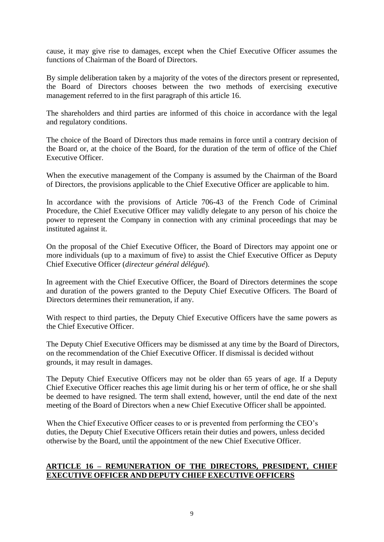cause, it may give rise to damages, except when the Chief Executive Officer assumes the functions of Chairman of the Board of Directors.

By simple deliberation taken by a majority of the votes of the directors present or represented, the Board of Directors chooses between the two methods of exercising executive management referred to in the first paragraph of this article 16.

The shareholders and third parties are informed of this choice in accordance with the legal and regulatory conditions.

The choice of the Board of Directors thus made remains in force until a contrary decision of the Board or, at the choice of the Board, for the duration of the term of office of the Chief Executive Officer.

When the executive management of the Company is assumed by the Chairman of the Board of Directors, the provisions applicable to the Chief Executive Officer are applicable to him.

In accordance with the provisions of Article 706-43 of the French Code of Criminal Procedure, the Chief Executive Officer may validly delegate to any person of his choice the power to represent the Company in connection with any criminal proceedings that may be instituted against it.

On the proposal of the Chief Executive Officer, the Board of Directors may appoint one or more individuals (up to a maximum of five) to assist the Chief Executive Officer as Deputy Chief Executive Officer (*directeur général délégué*).

In agreement with the Chief Executive Officer, the Board of Directors determines the scope and duration of the powers granted to the Deputy Chief Executive Officers. The Board of Directors determines their remuneration, if any.

With respect to third parties, the Deputy Chief Executive Officers have the same powers as the Chief Executive Officer.

The Deputy Chief Executive Officers may be dismissed at any time by the Board of Directors, on the recommendation of the Chief Executive Officer. If dismissal is decided without grounds, it may result in damages.

The Deputy Chief Executive Officers may not be older than 65 years of age. If a Deputy Chief Executive Officer reaches this age limit during his or her term of office, he or she shall be deemed to have resigned. The term shall extend, however, until the end date of the next meeting of the Board of Directors when a new Chief Executive Officer shall be appointed.

When the Chief Executive Officer ceases to or is prevented from performing the CEO's duties, the Deputy Chief Executive Officers retain their duties and powers, unless decided otherwise by the Board, until the appointment of the new Chief Executive Officer.

#### **ARTICLE 16 – REMUNERATION OF THE DIRECTORS, PRESIDENT, CHIEF EXECUTIVE OFFICER AND DEPUTY CHIEF EXECUTIVE OFFICERS**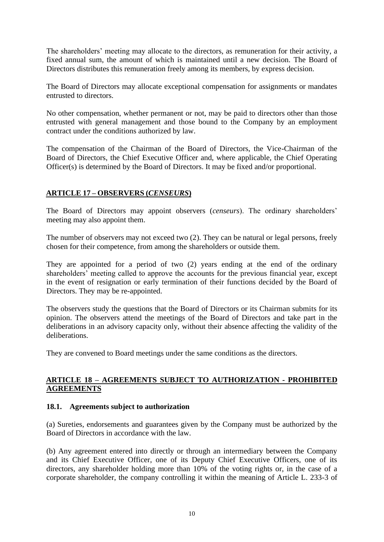The shareholders' meeting may allocate to the directors, as remuneration for their activity, a fixed annual sum, the amount of which is maintained until a new decision. The Board of Directors distributes this remuneration freely among its members, by express decision.

The Board of Directors may allocate exceptional compensation for assignments or mandates entrusted to directors.

No other compensation, whether permanent or not, may be paid to directors other than those entrusted with general management and those bound to the Company by an employment contract under the conditions authorized by law.

The compensation of the Chairman of the Board of Directors, the Vice-Chairman of the Board of Directors, the Chief Executive Officer and, where applicable, the Chief Operating Officer(s) is determined by the Board of Directors. It may be fixed and/or proportional.

## **ARTICLE 17 – OBSERVERS (***CENSEURS***)**

The Board of Directors may appoint observers (*censeurs*). The ordinary shareholders' meeting may also appoint them.

The number of observers may not exceed two (2). They can be natural or legal persons, freely chosen for their competence, from among the shareholders or outside them.

They are appointed for a period of two (2) years ending at the end of the ordinary shareholders' meeting called to approve the accounts for the previous financial year, except in the event of resignation or early termination of their functions decided by the Board of Directors. They may be re-appointed.

The observers study the questions that the Board of Directors or its Chairman submits for its opinion. The observers attend the meetings of the Board of Directors and take part in the deliberations in an advisory capacity only, without their absence affecting the validity of the deliberations.

They are convened to Board meetings under the same conditions as the directors.

### **ARTICLE 18 – AGREEMENTS SUBJECT TO AUTHORIZATION - PROHIBITED AGREEMENTS**

#### **18.1. Agreements subject to authorization**

(a) Sureties, endorsements and guarantees given by the Company must be authorized by the Board of Directors in accordance with the law.

(b) Any agreement entered into directly or through an intermediary between the Company and its Chief Executive Officer, one of its Deputy Chief Executive Officers, one of its directors, any shareholder holding more than 10% of the voting rights or, in the case of a corporate shareholder, the company controlling it within the meaning of Article L. 233-3 of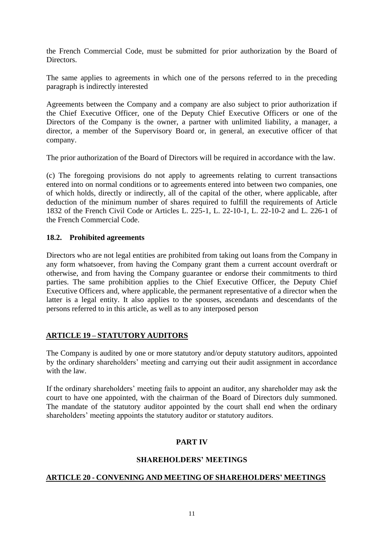the French Commercial Code, must be submitted for prior authorization by the Board of Directors.

The same applies to agreements in which one of the persons referred to in the preceding paragraph is indirectly interested

Agreements between the Company and a company are also subject to prior authorization if the Chief Executive Officer, one of the Deputy Chief Executive Officers or one of the Directors of the Company is the owner, a partner with unlimited liability, a manager, a director, a member of the Supervisory Board or, in general, an executive officer of that company.

The prior authorization of the Board of Directors will be required in accordance with the law.

(c) The foregoing provisions do not apply to agreements relating to current transactions entered into on normal conditions or to agreements entered into between two companies, one of which holds, directly or indirectly, all of the capital of the other, where applicable, after deduction of the minimum number of shares required to fulfill the requirements of Article 1832 of the French Civil Code or Articles L. 225-1, L. 22-10-1, L. 22-10-2 and L. 226-1 of the French Commercial Code.

### **18.2. Prohibited agreements**

Directors who are not legal entities are prohibited from taking out loans from the Company in any form whatsoever, from having the Company grant them a current account overdraft or otherwise, and from having the Company guarantee or endorse their commitments to third parties. The same prohibition applies to the Chief Executive Officer, the Deputy Chief Executive Officers and, where applicable, the permanent representative of a director when the latter is a legal entity. It also applies to the spouses, ascendants and descendants of the persons referred to in this article, as well as to any interposed person

# **ARTICLE 19 – STATUTORY AUDITORS**

The Company is audited by one or more statutory and/or deputy statutory auditors, appointed by the ordinary shareholders' meeting and carrying out their audit assignment in accordance with the law

If the ordinary shareholders' meeting fails to appoint an auditor, any shareholder may ask the court to have one appointed, with the chairman of the Board of Directors duly summoned. The mandate of the statutory auditor appointed by the court shall end when the ordinary shareholders' meeting appoints the statutory auditor or statutory auditors.

# **PART IV**

### **SHAREHOLDERS' MEETINGS**

#### **ARTICLE 20 - CONVENING AND MEETING OF SHAREHOLDERS' MEETINGS**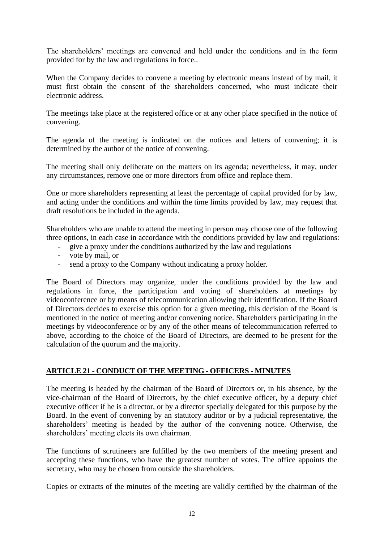The shareholders' meetings are convened and held under the conditions and in the form provided for by the law and regulations in force..

When the Company decides to convene a meeting by electronic means instead of by mail, it must first obtain the consent of the shareholders concerned, who must indicate their electronic address.

The meetings take place at the registered office or at any other place specified in the notice of convening.

The agenda of the meeting is indicated on the notices and letters of convening; it is determined by the author of the notice of convening.

The meeting shall only deliberate on the matters on its agenda; nevertheless, it may, under any circumstances, remove one or more directors from office and replace them.

One or more shareholders representing at least the percentage of capital provided for by law, and acting under the conditions and within the time limits provided by law, may request that draft resolutions be included in the agenda.

Shareholders who are unable to attend the meeting in person may choose one of the following three options, in each case in accordance with the conditions provided by law and regulations:

- give a proxy under the conditions authorized by the law and regulations
- vote by mail, or
- send a proxy to the Company without indicating a proxy holder.

The Board of Directors may organize, under the conditions provided by the law and regulations in force, the participation and voting of shareholders at meetings by videoconference or by means of telecommunication allowing their identification. If the Board of Directors decides to exercise this option for a given meeting, this decision of the Board is mentioned in the notice of meeting and/or convening notice. Shareholders participating in the meetings by videoconference or by any of the other means of telecommunication referred to above, according to the choice of the Board of Directors, are deemed to be present for the calculation of the quorum and the majority.

### **ARTICLE 21 - CONDUCT OF THE MEETING - OFFICERS - MINUTES**

The meeting is headed by the chairman of the Board of Directors or, in his absence, by the vice-chairman of the Board of Directors, by the chief executive officer, by a deputy chief executive officer if he is a director, or by a director specially delegated for this purpose by the Board. In the event of convening by an statutory auditor or by a judicial representative, the shareholders' meeting is headed by the author of the convening notice. Otherwise, the shareholders' meeting elects its own chairman.

The functions of scrutineers are fulfilled by the two members of the meeting present and accepting these functions, who have the greatest number of votes. The office appoints the secretary, who may be chosen from outside the shareholders.

Copies or extracts of the minutes of the meeting are validly certified by the chairman of the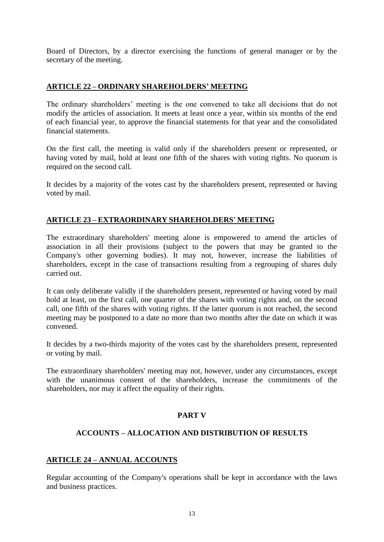Board of Directors, by a director exercising the functions of general manager or by the secretary of the meeting.

## **ARTICLE 22 – ORDINARY SHAREHOLDERS' MEETING**

The ordinary shareholders' meeting is the one convened to take all decisions that do not modify the articles of association. It meets at least once a year, within six months of the end of each financial year, to approve the financial statements for that year and the consolidated financial statements.

On the first call, the meeting is valid only if the shareholders present or represented, or having voted by mail, hold at least one fifth of the shares with voting rights. No quorum is required on the second call.

It decides by a majority of the votes cast by the shareholders present, represented or having voted by mail.

### **ARTICLE 23 – EXTRAORDINARY SHAREHOLDERS' MEETING**

The extraordinary shareholders' meeting alone is empowered to amend the articles of association in all their provisions (subject to the powers that may be granted to the Company's other governing bodies). It may not, however, increase the liabilities of shareholders, except in the case of transactions resulting from a regrouping of shares duly carried out.

It can only deliberate validly if the shareholders present, represented or having voted by mail hold at least, on the first call, one quarter of the shares with voting rights and, on the second call, one fifth of the shares with voting rights. If the latter quorum is not reached, the second meeting may be postponed to a date no more than two months after the date on which it was convened.

It decides by a two-thirds majority of the votes cast by the shareholders present, represented or voting by mail.

The extraordinary shareholders' meeting may not, however, under any circumstances, except with the unanimous consent of the shareholders, increase the commitments of the shareholders, nor may it affect the equality of their rights.

#### **PART V**

### **ACCOUNTS – ALLOCATION AND DISTRIBUTION OF RESULTS**

#### **ARTICLE 24 – ANNUAL ACCOUNTS**

Regular accounting of the Company's operations shall be kept in accordance with the laws and business practices.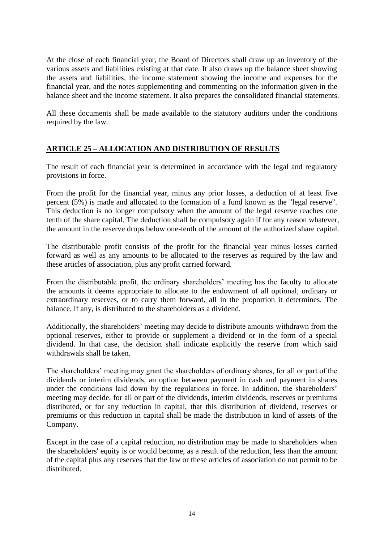At the close of each financial year, the Board of Directors shall draw up an inventory of the various assets and liabilities existing at that date. It also draws up the balance sheet showing the assets and liabilities, the income statement showing the income and expenses for the financial year, and the notes supplementing and commenting on the information given in the balance sheet and the income statement. It also prepares the consolidated financial statements.

All these documents shall be made available to the statutory auditors under the conditions required by the law.

## **ARTICLE 25 – ALLOCATION AND DISTRIBUTION OF RESULTS**

The result of each financial year is determined in accordance with the legal and regulatory provisions in force.

From the profit for the financial year, minus any prior losses, a deduction of at least five percent (5%) is made and allocated to the formation of a fund known as the "legal reserve". This deduction is no longer compulsory when the amount of the legal reserve reaches one tenth of the share capital. The deduction shall be compulsory again if for any reason whatever, the amount in the reserve drops below one-tenth of the amount of the authorized share capital.

The distributable profit consists of the profit for the financial year minus losses carried forward as well as any amounts to be allocated to the reserves as required by the law and these articles of association, plus any profit carried forward.

From the distributable profit, the ordinary shareholders' meeting has the faculty to allocate the amounts it deems appropriate to allocate to the endowment of all optional, ordinary or extraordinary reserves, or to carry them forward, all in the proportion it determines. The balance, if any, is distributed to the shareholders as a dividend.

Additionally, the shareholders' meeting may decide to distribute amounts withdrawn from the optional reserves, either to provide or supplement a dividend or in the form of a special dividend. In that case, the decision shall indicate explicitly the reserve from which said withdrawals shall be taken.

The shareholders' meeting may grant the shareholders of ordinary shares, for all or part of the dividends or interim dividends, an option between payment in cash and payment in shares under the conditions laid down by the regulations in force. In addition, the shareholders' meeting may decide, for all or part of the dividends, interim dividends, reserves or premiums distributed, or for any reduction in capital, that this distribution of dividend, reserves or premiums or this reduction in capital shall be made the distribution in kind of assets of the Company.

Except in the case of a capital reduction, no distribution may be made to shareholders when the shareholders' equity is or would become, as a result of the reduction, less than the amount of the capital plus any reserves that the law or these articles of association do not permit to be distributed.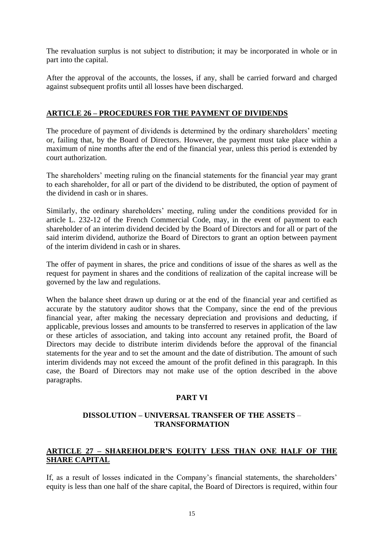The revaluation surplus is not subject to distribution; it may be incorporated in whole or in part into the capital.

After the approval of the accounts, the losses, if any, shall be carried forward and charged against subsequent profits until all losses have been discharged.

### **ARTICLE 26 – PROCEDURES FOR THE PAYMENT OF DIVIDENDS**

The procedure of payment of dividends is determined by the ordinary shareholders' meeting or, failing that, by the Board of Directors. However, the payment must take place within a maximum of nine months after the end of the financial year, unless this period is extended by court authorization.

The shareholders' meeting ruling on the financial statements for the financial year may grant to each shareholder, for all or part of the dividend to be distributed, the option of payment of the dividend in cash or in shares.

Similarly, the ordinary shareholders' meeting, ruling under the conditions provided for in article L. 232-12 of the French Commercial Code, may, in the event of payment to each shareholder of an interim dividend decided by the Board of Directors and for all or part of the said interim dividend, authorize the Board of Directors to grant an option between payment of the interim dividend in cash or in shares.

The offer of payment in shares, the price and conditions of issue of the shares as well as the request for payment in shares and the conditions of realization of the capital increase will be governed by the law and regulations.

When the balance sheet drawn up during or at the end of the financial year and certified as accurate by the statutory auditor shows that the Company, since the end of the previous financial year, after making the necessary depreciation and provisions and deducting, if applicable, previous losses and amounts to be transferred to reserves in application of the law or these articles of association, and taking into account any retained profit, the Board of Directors may decide to distribute interim dividends before the approval of the financial statements for the year and to set the amount and the date of distribution. The amount of such interim dividends may not exceed the amount of the profit defined in this paragraph. In this case, the Board of Directors may not make use of the option described in the above paragraphs.

### **PART VI**

### **DISSOLUTION – UNIVERSAL TRANSFER OF THE ASSETS** – **TRANSFORMATION**

### **ARTICLE 27 – SHAREHOLDER'S EQUITY LESS THAN ONE HALF OF THE SHARE CAPITAL**

If, as a result of losses indicated in the Company's financial statements, the shareholders' equity is less than one half of the share capital, the Board of Directors is required, within four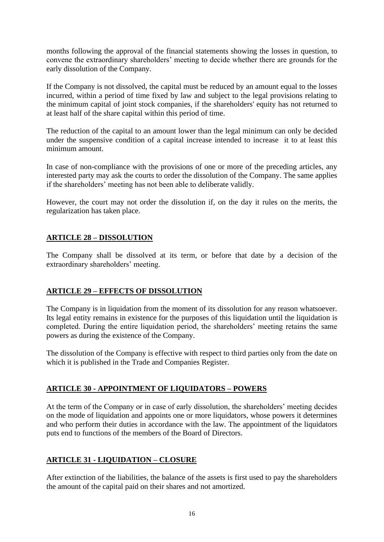months following the approval of the financial statements showing the losses in question, to convene the extraordinary shareholders' meeting to decide whether there are grounds for the early dissolution of the Company.

If the Company is not dissolved, the capital must be reduced by an amount equal to the losses incurred, within a period of time fixed by law and subject to the legal provisions relating to the minimum capital of joint stock companies, if the shareholders' equity has not returned to at least half of the share capital within this period of time.

The reduction of the capital to an amount lower than the legal minimum can only be decided under the suspensive condition of a capital increase intended to increase it to at least this minimum amount.

In case of non-compliance with the provisions of one or more of the preceding articles, any interested party may ask the courts to order the dissolution of the Company. The same applies if the shareholders' meeting has not been able to deliberate validly.

However, the court may not order the dissolution if, on the day it rules on the merits, the regularization has taken place.

## **ARTICLE 28 – DISSOLUTION**

The Company shall be dissolved at its term, or before that date by a decision of the extraordinary shareholders' meeting.

### **ARTICLE 29 – EFFECTS OF DISSOLUTION**

The Company is in liquidation from the moment of its dissolution for any reason whatsoever. Its legal entity remains in existence for the purposes of this liquidation until the liquidation is completed. During the entire liquidation period, the shareholders' meeting retains the same powers as during the existence of the Company.

The dissolution of the Company is effective with respect to third parties only from the date on which it is published in the Trade and Companies Register.

### **ARTICLE 30 - APPOINTMENT OF LIQUIDATORS – POWERS**

At the term of the Company or in case of early dissolution, the shareholders' meeting decides on the mode of liquidation and appoints one or more liquidators, whose powers it determines and who perform their duties in accordance with the law. The appointment of the liquidators puts end to functions of the members of the Board of Directors.

# **ARTICLE 31 - LIQUIDATION – CLOSURE**

After extinction of the liabilities, the balance of the assets is first used to pay the shareholders the amount of the capital paid on their shares and not amortized.